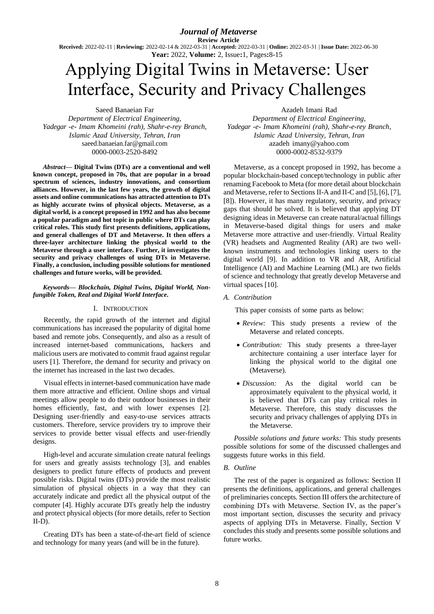*Journal of Metaverse* **Review Article Received:** 2022-02-11 | **Reviewing:** 2022-02-14 & 2022-03-31 | **Accepted:** 2022-03-31 | **Online:** 2022-03-31 | **Issue Date:** 2022-06-30 **Year:** 2022, **Volume:** 2, Issue**:**1, Pages**:**8-15

# Applying Digital Twins in Metaverse: User Interface, Security and Privacy Challenges

Saeed Banaeian Far *Department of Electrical Engineering, Yadegar -e- Imam Khomeini (rah), Shahr-e-rey Branch, Islamic Azad University, Tehran, Iran* [saeed.banaeian.far@gmail.com](mailto:saeed.banaeian.far@gmail.com) 0000-0003-2520-8492

*Abstract***— Digital Twins (DTs) are a conventional and well known concept, proposed in 70s, that are popular in a broad spectrum of sciences, industry innovations, and consortium alliances. However, in the last few years, the growth of digital assets and online communications has attracted attention to DTs as highly accurate twins of physical objects. Metaverse, as a digital world, is a concept proposed in 1992 and has also become a popular paradigm and hot topic in public where DTs can play critical roles. This study first presents definitions, applications, and general challenges of DT and Metaverse. It then offers a three-layer architecture linking the physical world to the Metaverse through a user interface. Further, it investigates the security and privacy challenges of using DTs in Metaverse. Finally, a conclusion, including possible solutions for mentioned challenges and future works, will be provided.**

#### *Keywords— Blockchain, Digital Twins, Digital World, Nonfungible Token, Real and Digital World Interface.*

## I. INTRODUCTION

Recently, the rapid growth of the internet and digital communications has increased the popularity of digital home based and remote jobs. Consequently, and also as a result of increased internet-based communications, hackers and malicious users are motivated to commit fraud against regular users [1]. Therefore, the demand for security and privacy on the internet has increased in the last two decades.

Visual effects in internet-based communication have made them more attractive and efficient. Online shops and virtual meetings allow people to do their outdoor businesses in their homes efficiently, fast, and with lower expenses [2]. Designing user-friendly and easy-to-use services attracts customers. Therefore, service providers try to improve their services to provide better visual effects and user-friendly designs.

High-level and accurate simulation create natural feelings for users and greatly assists technology [3], and enables designers to predict future effects of products and prevent possible risks. Digital twins (DTs) provide the most realistic simulation of physical objects in a way that they can accurately indicate and predict all the physical output of the computer [4]. Highly accurate DTs greatly help the industry and protect physical objects (for more details, refer to Section  $II-D$ ).

Creating DTs has been a state-of-the-art field of science and technology for many years (and will be in the future).

Azadeh Imani Rad *Department of Electrical Engineering, Yadegar -e- Imam Khomeini (rah), Shahr-e-rey Branch, Islamic Azad University, Tehran, Iran* azadeh [imany@yahoo.com](mailto:imany@yahoo.com) 0000-0002-8532-9379

Metaverse, as a concept proposed in 1992, has become a popular blockchain-based concept/technology in public after renaming Facebook to Meta (for more detail about blockchain and Metaverse, refer to Sections II-A and II-C and [5], [6], [7], [8]). However, it has many regulatory, security, and privacy gaps that should be solved. It is believed that applying DT designing ideas in Metaverse can create natural/actual fillings in Metaverse-based digital things for users and make Metaverse more attractive and user-friendly. Virtual Reality (VR) headsets and Augmented Reality (AR) are two wellknown instruments and technologies linking users to the digital world [9]. In addition to VR and AR, Artificial Intelligence (AI) and Machine Learning (ML) are two fields of science and technology that greatly develop Metaverse and virtual spaces [10].

*A. Contribution*

This paper consists of some parts as below:

- *Review:* This study presents a review of the Metaverse and related concepts.
- *Contribution:* This study presents a three-layer architecture containing a user interface layer for linking the physical world to the digital one (Metaverse).
- *Discussion:* As the digital world can be approximately equivalent to the physical world, it is believed that DTs can play critical roles in Metaverse. Therefore, this study discusses the security and privacy challenges of applying DTs in the Metaverse.

*Possible solutions and future works:* This study presents possible solutions for some of the discussed challenges and suggests future works in this field.

## *B. Outline*

The rest of the paper is organized as follows: Section II presents the definitions, applications, and general challenges of preliminaries concepts. Section III offers the architecture of combining DTs with Metaverse. Section IV, as the paper's most important section, discusses the security and privacy aspects of applying DTs in Metaverse. Finally, Section V concludes this study and presents some possible solutions and future works.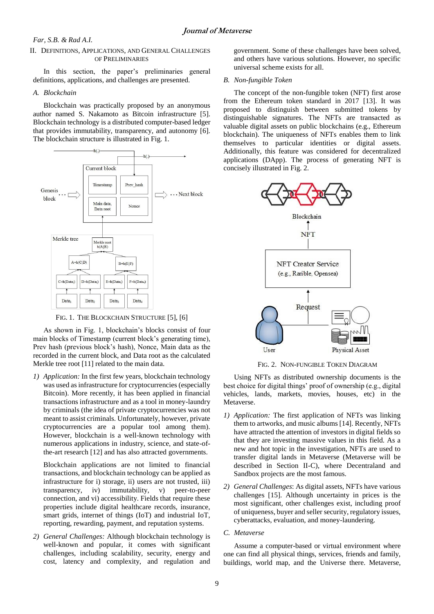## II. DEFINITIONS, APPLICATIONS, AND GENERAL CHALLENGES OF PRELIMINARIES

In this section, the paper's preliminaries general definitions, applications, and challenges are presented.

#### *A. Blockchain*

Blockchain was practically proposed by an anonymous author named S. Nakamoto as Bitcoin infrastructure [5]. Blockchain technology is a distributed computer-based ledger that provides immutability, transparency, and autonomy [6]. The blockchain structure is illustrated in Fig. 1.



FIG. 1. THE BLOCKCHAIN STRUCTURE [5], [6]

As shown in Fig. 1, blockchain's blocks consist of four main blocks of Timestamp (current block's generating time), Prev hash (previous block's hash), Nonce, Main data as the recorded in the current block, and Data root as the calculated Merkle tree root [11] related to the main data.

*1) Application:* In the first few years, blockchain technology was used as infrastructure for cryptocurrencies (especially Bitcoin). More recently, it has been applied in financial transactions infrastructure and as a tool in money-laundry by criminals (the idea of private cryptocurrencies was not meant to assist criminals. Unfortunately, however, private cryptocurrencies are a popular tool among them). However, blockchain is a well-known technology with numerous applications in industry, science, and state-ofthe-art research [12] and has also attracted governments.

Blockchain applications are not limited to financial transactions, and blockchain technology can be applied as infrastructure for i) storage, ii) users are not trusted, iii) transparency, iv) immutability, v) peer-to-peer connection, and vi) accessibility. Fields that require these properties include digital healthcare records, insurance, smart grids, internet of things (IoT) and industrial IoT, reporting, rewarding, payment, and reputation systems.

*2) General Challenges:* Although blockchain technology is well-known and popular, it comes with significant challenges, including scalability, security, energy and cost, latency and complexity, and regulation and

government. Some of these challenges have been solved, and others have various solutions. However, no specific universal scheme exists for all.

#### *B. Non-fungible Token*

The concept of the non-fungible token (NFT) first arose from the Ethereum token standard in 2017 [13]. It was proposed to distinguish between submitted tokens by distinguishable signatures. The NFTs are transacted as valuable digital assets on public blockchains (e.g., Ethereum blockchain). The uniqueness of NFTs enables them to link themselves to particular identities or digital assets. Additionally, this feature was considered for decentralized applications (DApp). The process of generating NFT is concisely illustrated in Fig. 2.



FIG. 2. NON-FUNGIBLE TOKEN DIAGRAM

Using NFTs as distributed ownership documents is the best choice for digital things' proof of ownership (e.g., digital vehicles, lands, markets, movies, houses, etc) in the Metaverse.

- *1) Application:* The first application of NFTs was linking them to artworks, and music albums [14]. Recently, NFTs have attracted the attention of investors in digital fields so that they are investing massive values in this field. As a new and hot topic in the investigation, NFTs are used to transfer digital lands in Metaverse (Metaverse will be described in Section II-C), where Decentraland and Sandbox projects are the most famous.
- *2) General Challenges*: As digital assets, NFTs have various challenges [15]. Although uncertainty in prices is the most significant, other challenges exist, including proof of uniqueness, buyer and seller security, regulatory issues, cyberattacks, evaluation, and money-laundering.
- *C. Metaverse*

Assume a computer-based or virtual environment where one can find all physical things, services, friends and family, buildings, world map, and the Universe there. Metaverse,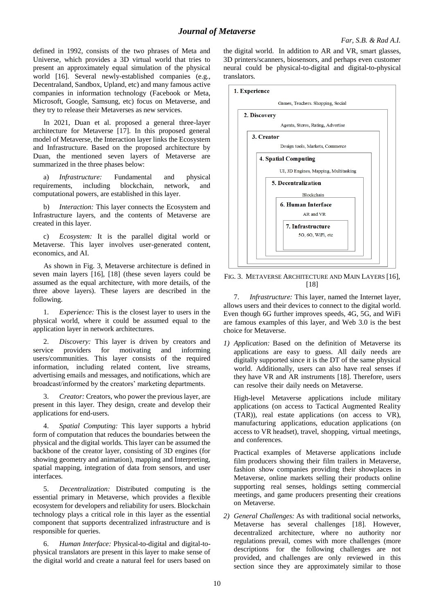defined in 1992, consists of the two phrases of Meta and Universe, which provides a 3D virtual world that tries to present an approximately equal simulation of the physical world [16]. Several newly-established companies (e.g., Decentraland, Sandbox, Upland, etc) and many famous active companies in information technology (Facebook or Meta, Microsoft, Google, Samsung, etc) focus on Metaverse, and they try to release their Metaverses as new services.

In 2021, Duan et al. proposed a general three-layer architecture for Metaverse [17]. In this proposed general model of Metaverse, the Interaction layer links the Ecosystem and Infrastructure. Based on the proposed architecture by Duan, the mentioned seven layers of Metaverse are summarized in the three phases below:

a) *Infrastructure:* Fundamental and physical requirements, including blockchain, network, and computational powers, are established in this layer.

b) *Interaction:* This layer connects the Ecosystem and Infrastructure layers, and the contents of Metaverse are created in this layer.

c) *Ecosystem:* It is the parallel digital world or Metaverse. This layer involves user-generated content, economics, and AI.

As shown in Fig. 3, Metaverse architecture is defined in seven main layers [16], [18] (these seven layers could be assumed as the equal architecture, with more details, of the three above layers). These layers are described in the following.

1. *Experience:* This is the closest layer to users in the physical world, where it could be assumed equal to the application layer in network architectures.

2. *Discovery:* This layer is driven by creators and service providers for motivating and informing users/communities. This layer consists of the required information, including related content, live streams, advertising emails and messages, and notifications, which are broadcast/informed by the creators' marketing departments.

3. *Creator:* Creators, who power the previous layer, are present in this layer. They design, create and develop their applications for end-users.

4. *Spatial Computing:* This layer supports a hybrid form of computation that reduces the boundaries between the physical and the digital worlds. This layer can be assumed the backbone of the creator layer, consisting of 3D engines (for showing geometry and animation), mapping and Interpreting, spatial mapping, integration of data from sensors, and user interfaces.

5. *Decentralization:* Distributed computing is the essential primary in Metaverse, which provides a flexible ecosystem for developers and reliability for users. Blockchain technology plays a critical role in this layer as the essential component that supports decentralized infrastructure and is responsible for queries.

Human Interface: Physical-to-digital and digital-tophysical translators are present in this layer to make sense of the digital world and create a natural feel for users based on

the digital world. In addition to AR and VR, smart glasses, 3D printers/scanners, biosensors, and perhaps even customer neural could be physical-to-digital and digital-to-physical translators.



FIG. 3. METAVERSE ARCHITECTURE AND MAIN LAYERS [16], [18]

7. *Infrastructure:* This layer, named the Internet layer, allows users and their devices to connect to the digital world. Even though 6G further improves speeds, 4G, 5G, and WiFi are famous examples of this layer, and Web 3.0 is the best choice for Metaverse.

*1) Application:* Based on the definition of Metaverse its applications are easy to guess. All daily needs are digitally supported since it is the DT of the same physical world. Additionally, users can also have real senses if they have VR and AR instruments [18]. Therefore, users can resolve their daily needs on Metaverse.

High-level Metaverse applications include military applications (on access to Tactical Augmented Reality (TAR)), real estate applications (on access to VR), manufacturing applications, education applications (on access to VR headset), travel, shopping, virtual meetings, and conferences.

Practical examples of Metaverse applications include film producers showing their film trailers in Metaverse, fashion show companies providing their showplaces in Metaverse, online markets selling their products online supporting real senses, holdings setting commercial meetings, and game producers presenting their creations on Metaverse.

*2) General Challenges:* As with traditional social networks, Metaverse has several challenges [18]. However, decentralized architecture, where no authority nor regulations prevail, comes with more challenges (more descriptions for the following challenges are not provided, and challenges are only reviewed in this section since they are approximately similar to those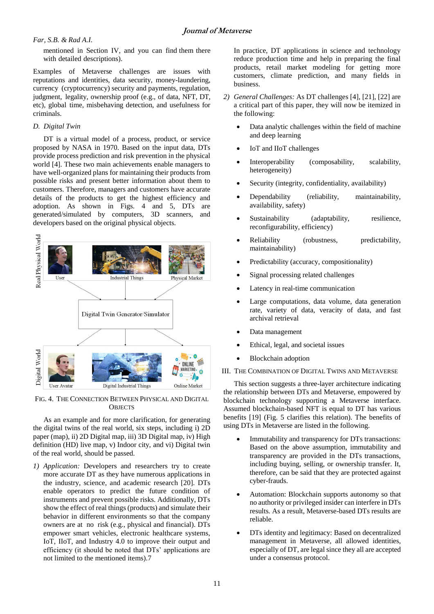mentioned in Section IV, and you can find them there with detailed descriptions).

Examples of Metaverse challenges are issues with reputations and identities, data security, money-laundering, currency (cryptocurrency) security and payments, regulation, judgment, legality, ownership proof (e.g., of data, NFT, DT, etc), global time, misbehaving detection, and usefulness for criminals.

# *D. Digital Twin*

DT is a virtual model of a process, product, or service proposed by NASA in 1970. Based on the input data, DTs provide process prediction and risk prevention in the physical world [4]. These two main achievements enable managers to have well-organized plans for maintaining their products from possible risks and present better information about them to customers. Therefore, managers and customers have accurate details of the products to get the highest efficiency and adoption. As shown in Figs. 4 and 5, DTs are generated/simulated by computers, 3D scanners, and developers based on the original physical objects.



FIG. 4. THE CONNECTION BETWEEN PHYSICAL AND DIGITAL **OBJECTS** 

As an example and for more clarification, for generating the digital twins of the real world, six steps, including i) 2D paper (map), ii) 2D Digital map, iii) 3D Digital map, iv) High definition (HD) live map, v) Indoor city, and vi) Digital twin of the real world, should be passed.

*1) Application:* Developers and researchers try to create more accurate DT as they have numerous applications in the industry, science, and academic research [20]. DTs enable operators to predict the future condition of instruments and prevent possible risks. Additionally, DTs show the effect of real things (products) and simulate their behavior in different environments so that the company owners are at no risk (e.g., physical and financial). DTs empower smart vehicles, electronic healthcare systems, IoT, IIoT, and Industry 4.0 to improve their output and efficiency (it should be noted that DTs' applications are not limited to the mentioned items).7

In practice, DT applications in science and technology reduce production time and help in preparing the final products, retail market modeling for getting more customers, climate prediction, and many fields in business.

- *2) General Challenges:* As DT challenges [4], [21], [22] are a critical part of this paper, they will now be itemized in the following:
	- Data analytic challenges within the field of machine and deep learning
	- IoT and IIoT challenges
	- Interoperability (composability, scalability, heterogeneity)
	- Security (integrity, confidentiality, availability)
	- Dependability (reliability, maintainability, availability, safety)
	- Sustainability (adaptability, resilience, reconfigurability, efficiency)
	- Reliability (robustness, predictability, maintainability)
	- Predictability (accuracy, compositionality)
	- Signal processing related challenges
	- Latency in real-time communication
	- Large computations, data volume, data generation rate, variety of data, veracity of data, and fast archival retrieval
	- Data management
	- Ethical, legal, and societal issues
	- Blockchain adoption
- III. THE COMBINATION OF DIGITAL TWINS AND METAVERSE

This section suggests a three-layer architecture indicating the relationship between DTs and Metaverse, empowered by blockchain technology supporting a Metaverse interface. Assumed blockchain-based NFT is equal to DT has various benefits [19] (Fig. 5 clarifies this relation). The benefits of using DTs in Metaverse are listed in the following.

- Immutability and transparency for DTs transactions: Based on the above assumption, immutability and transparency are provided in the DTs transactions, including buying, selling, or ownership transfer. It, therefore, can be said that they are protected against cyber-frauds.
- Automation: Blockchain supports autonomy so that no authority or privileged insider can interfere in DTs results. As a result, Metaverse-based DTs results are reliable.
- DTs identity and legitimacy: Based on decentralized management in Metaverse, all allowed identities, especially of DT, are legal since they all are accepted under a consensus protocol.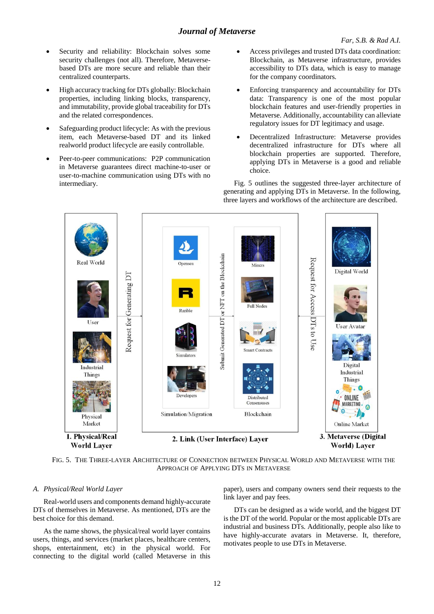- Security and reliability: Blockchain solves some security challenges (not all). Therefore, Metaversebased DTs are more secure and reliable than their centralized counterparts.
- High accuracy tracking for DTs globally: Blockchain properties, including linking blocks, transparency, and immutability, provide global traceability for DTs and the related correspondences.
- Safeguarding product lifecycle: As with the previous item, each Metaverse-based DT and its linked realworld product lifecycle are easily controllable.
- Peer-to-peer communications: P2P communication in Metaverse guarantees direct machine-to-user or user-to-machine communication using DTs with no intermediary.
- Access privileges and trusted DTs data coordination: Blockchain, as Metaverse infrastructure, provides accessibility to DTs data, which is easy to manage for the company coordinators.
- Enforcing transparency and accountability for DTs data: Transparency is one of the most popular blockchain features and user-friendly properties in Metaverse. Additionally, accountability can alleviate regulatory issues for DT legitimacy and usage.
- Decentralized Infrastructure: Metaverse provides decentralized infrastructure for DTs where all blockchain properties are supported. Therefore, applying DTs in Metaverse is a good and reliable choice.

Fig. 5 outlines the suggested three-layer architecture of generating and applying DTs in Metaverse. In the following, three layers and workflows of the architecture are described.



FIG. 5. THE THREE-LAYER ARCHITECTURE OF CONNECTION BETWEEN PHYSICAL WORLD AND METAVERSE WITH THE APPROACH OF APPLYING DTS IN METAVERSE

## *A. Physical/Real World Layer*

Real-world users and components demand highly-accurate DTs of themselves in Metaverse. As mentioned, DTs are the best choice for this demand.

As the name shows, the physical/real world layer contains users, things, and services (market places, healthcare centers, shops, entertainment, etc) in the physical world. For connecting to the digital world (called Metaverse in this

paper), users and company owners send their requests to the link layer and pay fees.

DTs can be designed as a wide world, and the biggest DT is the DT of the world. Popular or the most applicable DTs are industrial and business DTs. Additionally, people also like to have highly-accurate avatars in Metaverse. It, therefore, motivates people to use DTs in Metaverse.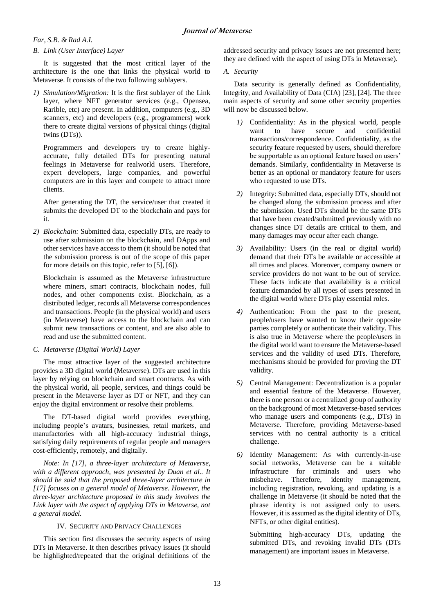# *B. Link (User Interface) Layer*

It is suggested that the most critical layer of the architecture is the one that links the physical world to Metaverse. It consists of the two following sublayers.

*1) Simulation/Migration:* It is the first sublayer of the Link layer, where NFT generator services (e.g., Opensea, Rarible, etc) are present. In addition, computers (e.g., 3D scanners, etc) and developers (e.g., programmers) work there to create digital versions of physical things (digital twins (DTs)).

Programmers and developers try to create highlyaccurate, fully detailed DTs for presenting natural feelings in Metaverse for realworld users. Therefore, expert developers, large companies, and powerful computers are in this layer and compete to attract more clients.

After generating the DT, the service/user that created it submits the developed DT to the blockchain and pays for it.

*2) Blockchain:* Submitted data, especially DTs, are ready to use after submission on the blockchain, and DApps and other services have access to them (it should be noted that the submission process is out of the scope of this paper for more details on this topic, refer to [5], [6]).

Blockchain is assumed as the Metaverse infrastructure where miners, smart contracts, blockchain nodes, full nodes, and other components exist. Blockchain, as a distributed ledger, records all Metaverse correspondences and transactions. People (in the physical world) and users (in Metaverse) have access to the blockchain and can submit new transactions or content, and are also able to read and use the submitted content.

# *C. Metaverse (Digital World) Layer*

The most attractive layer of the suggested architecture provides a 3D digital world (Metaverse). DTs are used in this layer by relying on blockchain and smart contracts. As with the physical world, all people, services, and things could be present in the Metaverse layer as DT or NFT, and they can enjoy the digital environment or resolve their problems.

The DT-based digital world provides everything, including people's avatars, businesses, retail markets, and manufactories with all high-accuracy industrial things, satisfying daily requirements of regular people and managers cost-efficiently, remotely, and digitally.

*Note: In [17], a three-layer architecture of Metaverse, with a different approach, was presented by Duan et al.. It should be said that the proposed three-layer architecture in [17] focuses on a general model of Metaverse. However, the three-layer architecture proposed in this study involves the Link layer with the aspect of applying DTs in Metaverse, not a general model.*

# IV. SECURITY AND PRIVACY CHALLENGES

This section first discusses the security aspects of using DTs in Metaverse. It then describes privacy issues (it should be highlighted/repeated that the original definitions of the addressed security and privacy issues are not presented here; they are defined with the aspect of using DTs in Metaverse).

# *A. Security*

Data security is generally defined as Confidentiality, Integrity, and Availability of Data (CIA) [23], [24]. The three main aspects of security and some other security properties will now be discussed below.

- *1)* Confidentiality: As in the physical world, people want to have secure and confidential transactions/correspondence. Confidentiality, as the security feature requested by users, should therefore be supportable as an optional feature based on users' demands. Similarly, confidentiality in Metaverse is better as an optional or mandatory feature for users who requested to use DTs.
- *2)* Integrity: Submitted data, especially DTs, should not be changed along the submission process and after the submission. Used DTs should be the same DTs that have been created/submitted previously with no changes since DT details are critical to them, and many damages may occur after each change.
- *3)* Availability: Users (in the real or digital world) demand that their DTs be available or accessible at all times and places. Moreover, company owners or service providers do not want to be out of service. These facts indicate that availability is a critical feature demanded by all types of users presented in the digital world where DTs play essential roles.
- *4)* Authentication: From the past to the present, people/users have wanted to know their opposite parties completely or authenticate their validity. This is also true in Metaverse where the people/users in the digital world want to ensure the Metaverse-based services and the validity of used DTs. Therefore, mechanisms should be provided for proving the DT validity.
- *5)* Central Management: Decentralization is a popular and essential feature of the Metaverse. However, there is one person or a centralized group of authority on the background of most Metaverse-based services who manage users and components (e.g., DTs) in Metaverse. Therefore, providing Metaverse-based services with no central authority is a critical challenge.
- *6)* Identity Management: As with currently-in-use social networks, Metaverse can be a suitable infrastructure for criminals and users who misbehave. Therefore, identity management, including registration, revoking, and updating is a challenge in Metaverse (it should be noted that the phrase identity is not assigned only to users. However, it is assumed as the digital identity of DTs, NFTs, or other digital entities).

Submitting high-accuracy DTs, updating the submitted DTs, and revoking invalid DTs (DTs management) are important issues in Metaverse.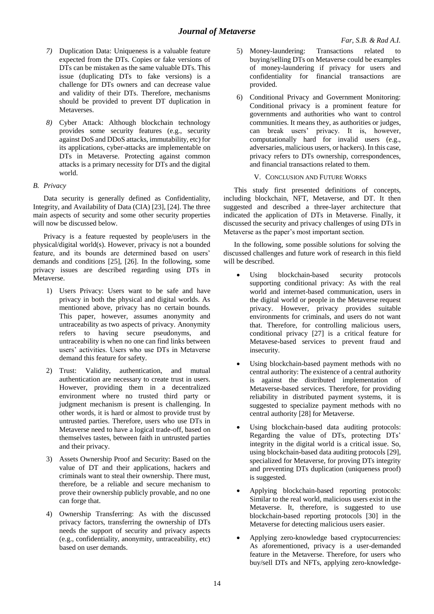- *7)* Duplication Data: Uniqueness is a valuable feature expected from the DTs. Copies or fake versions of DTs can be mistaken as the same valuable DTs. This issue (duplicating DTs to fake versions) is a challenge for DTs owners and can decrease value and validity of their DTs. Therefore, mechanisms should be provided to prevent DT duplication in Metaverses.
- *8)* Cyber Attack: Although blockchain technology provides some security features (e.g., security against DoS and DDoS attacks, immutability, etc) for its applications, cyber-attacks are implementable on DTs in Metaverse. Protecting against common attacks is a primary necessity for DTs and the digital world.

# *B. Privacy*

Data security is generally defined as Confidentiality, Integrity, and Availability of Data (CIA) [23], [24]. The three main aspects of security and some other security properties will now be discussed below.

Privacy is a feature requested by people/users in the physical/digital world(s). However, privacy is not a bounded feature, and its bounds are determined based on users' demands and conditions [25], [26]. In the following, some privacy issues are described regarding using DTs in Metaverse.

- 1) Users Privacy: Users want to be safe and have privacy in both the physical and digital worlds. As mentioned above, privacy has no certain bounds. This paper, however, assumes anonymity and untraceability as two aspects of privacy. Anonymity refers to having secure pseudonyms, and untraceability is when no one can find links between users' activities. Users who use DTs in Metaverse demand this feature for safety.
- 2) Trust: Validity, authentication, and mutual authentication are necessary to create trust in users. However, providing them in a decentralized environment where no trusted third party or judgment mechanism is present is challenging. In other words, it is hard or almost to provide trust by untrusted parties. Therefore, users who use DTs in Metaverse need to have a logical trade-off, based on themselves tastes, between faith in untrusted parties and their privacy.
- 3) Assets Ownership Proof and Security: Based on the value of DT and their applications, hackers and criminals want to steal their ownership. There must, therefore, be a reliable and secure mechanism to prove their ownership publicly provable, and no one can forge that.
- 4) Ownership Transferring: As with the discussed privacy factors, transferring the ownership of DTs needs the support of security and privacy aspects (e.g., confidentiality, anonymity, untraceability, etc) based on user demands.
- 5) Money-laundering: Transactions related to buying/selling DTs on Metaverse could be examples of money-laundering if privacy for users and confidentiality for financial transactions are provided.
- 6) Conditional Privacy and Government Monitoring: Conditional privacy is a prominent feature for governments and authorities who want to control communities. It means they, as authorities or judges, can break users' privacy. It is, however, computationally hard for invalid users (e.g., adversaries, malicious users, or hackers). In this case, privacy refers to DTs ownership, correspondences, and financial transactions related to them.
	- V. CONCLUSION AND FUTURE WORKS

This study first presented definitions of concepts, including blockchain, NFT, Metaverse, and DT. It then suggested and described a three-layer architecture that indicated the application of DTs in Metaverse. Finally, it discussed the security and privacy challenges of using DTs in Metaverse as the paper's most important section.

In the following, some possible solutions for solving the discussed challenges and future work of research in this field will be described.

- Using blockchain-based security protocols supporting conditional privacy: As with the real world and internet-based communication, users in the digital world or people in the Metaverse request privacy. However, privacy provides suitable environments for criminals, and users do not want that. Therefore, for controlling malicious users, conditional privacy [27] is a critical feature for Metavese-based services to prevent fraud and insecurity.
- Using blockchain-based payment methods with no central authority: The existence of a central authority is against the distributed implementation of Metaverse-based services. Therefore, for providing reliability in distributed payment systems, it is suggested to specialize payment methods with no central authority [28] for Metaverse.
- Using blockchain-based data auditing protocols: Regarding the value of DTs, protecting DTs' integrity in the digital world is a critical issue. So, using blockchain-based data auditing protocols [29], specialized for Metaverse, for proving DTs integrity and preventing DTs duplication (uniqueness proof) is suggested.
- Applying blockchain-based reporting protocols: Similar to the real world, malicious users exist in the Metaverse. It, therefore, is suggested to use blockchain-based reporting protocols [30] in the Metaverse for detecting malicious users easier.
- Applying zero-knowledge based cryptocurrencies: As aforementioned, privacy is a user-demanded feature in the Metaverse. Therefore, for users who buy/sell DTs and NFTs, applying zero-knowledge-

14